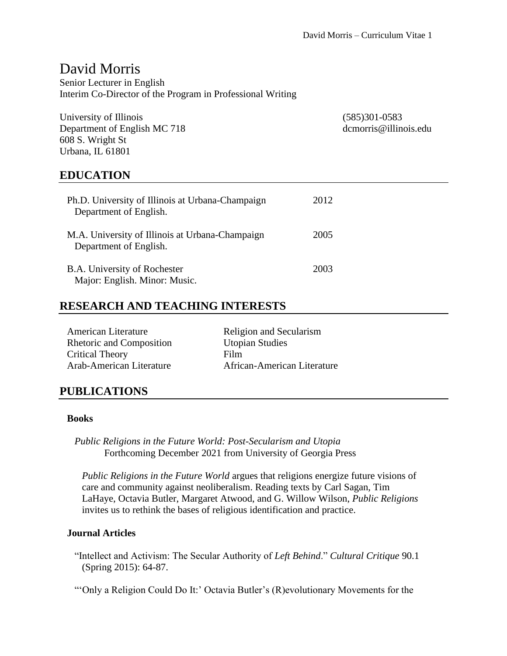# David Morris

Senior Lecturer in English Interim Co-Director of the Program in Professional Writing

University of Illinois (585)301-0583 Department of English MC 718 dcmorris@illinois.edu 608 S. Wright St Urbana, IL 61801

### **EDUCATION**

| Ph.D. University of Illinois at Urbana-Champaign<br>Department of English. | 2012 |
|----------------------------------------------------------------------------|------|
| M.A. University of Illinois at Urbana-Champaign<br>Department of English.  | 2005 |
| B.A. University of Rochester<br>Major: English. Minor: Music.              | 2003 |

### **RESEARCH AND TEACHING INTERESTS**

| <b>American Literature</b> | Religion and Secularism     |
|----------------------------|-----------------------------|
| Rhetoric and Composition   | <b>Utopian Studies</b>      |
| <b>Critical Theory</b>     | Film                        |
| Arab-American Literature   | African-American Literature |

### **PUBLICATIONS**

#### **Books**

*Public Religions in the Future World: Post-Secularism and Utopia* Forthcoming December 2021 from University of Georgia Press

*Public Religions in the Future World* argues that religions energize future visions of care and community against neoliberalism. Reading texts by Carl Sagan, Tim LaHaye, Octavia Butler, Margaret Atwood, and G. Willow Wilson, *Public Religions*  invites us to rethink the bases of religious identification and practice.

#### **Journal Articles**

"Intellect and Activism: The Secular Authority of *Left Behind*." *Cultural Critique* 90.1 (Spring 2015): 64-87.

"'Only a Religion Could Do It:' Octavia Butler's (R)evolutionary Movements for the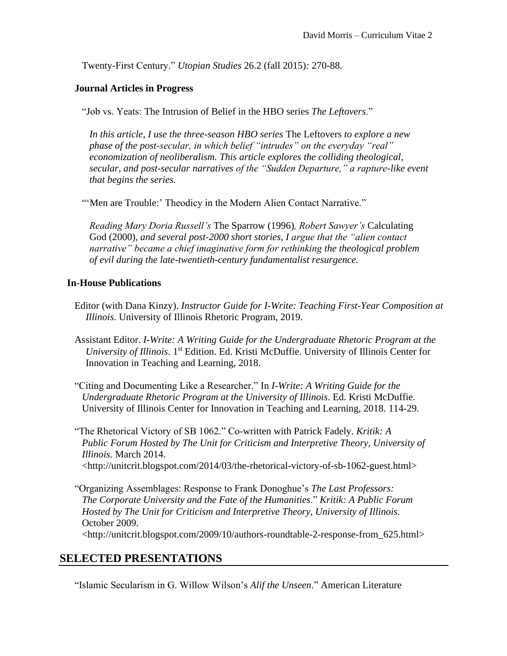Twenty-First Century." *Utopian Studies* 26.2 (fall 2015)*:* 270-88.

#### **Journal Articles in Progress**

"Job vs. Yeats: The Intrusion of Belief in the HBO series *The Leftovers*."

*In this article, I use the three-season HBO series* The Leftovers *to explore a new phase of the post-secular, in which belief "intrudes" on the everyday "real" economization of neoliberalism. This article explores the colliding theological, secular, and post-secular narratives of the "Sudden Departure," a rapture-like event that begins the series.* 

"'Men are Trouble:' Theodicy in the Modern Alien Contact Narrative."

*Reading Mary Doria Russell's* The Sparrow (1996)*, Robert Sawyer's* Calculating God (2000)*, and several post-2000 short stories, I argue that the "alien contact narrative" became a chief imaginative form for rethinking the theological problem of evil during the late-twentieth-century fundamentalist resurgence.* 

#### **In-House Publications**

- Editor (with Dana Kinzy). *Instructor Guide for I-Write: Teaching First-Year Composition at Illinois*. University of Illinois Rhetoric Program, 2019.
- Assistant Editor. *I-Write: A Writing Guide for the Undergraduate Rhetoric Program at the*  University of Illinois. 1<sup>st</sup> Edition. Ed. Kristi McDuffie. University of Illinois Center for Innovation in Teaching and Learning, 2018.
- "Citing and Documenting Like a Researcher." In *I-Write: A Writing Guide for the Undergraduate Rhetoric Program at the University of Illinois*. Ed. Kristi McDuffie. University of Illinois Center for Innovation in Teaching and Learning, 2018. 114-29.

"The Rhetorical Victory of SB 1062." Co-written with Patrick Fadely. *Kritik: A Public Forum Hosted by The Unit for Criticism and Interpretive Theory, University of Illinois.* March 2014. <http://unitcrit.blogspot.com/2014/03/the-rhetorical-victory-of-sb-1062-guest.html>

"Organizing Assemblages: Response to Frank Donoghue's *The Last Professors: The Corporate University and the Fate of the Humanities*." *Kritik: A Public Forum Hosted by The Unit for Criticism and Interpretive Theory, University of Illinois.* October 2009. <http://unitcrit.blogspot.com/2009/10/authors-roundtable-2-response-from\_625.html>

### **SELECTED PRESENTATIONS**

"Islamic Secularism in G. Willow Wilson's *Alif the Unseen*." American Literature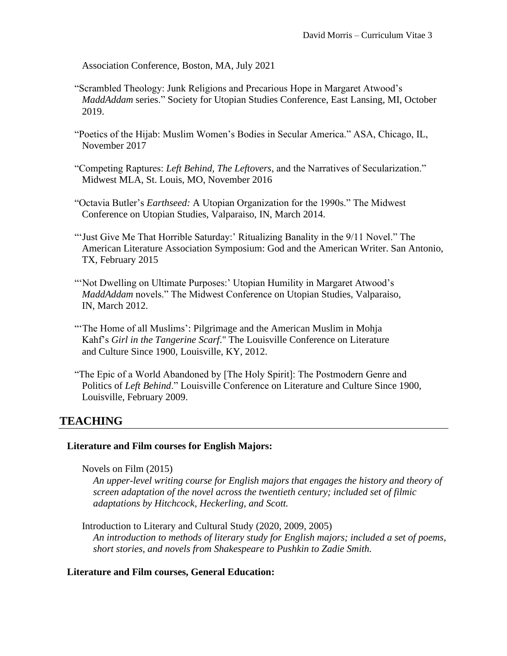Association Conference, Boston, MA, July 2021

- "Scrambled Theology: Junk Religions and Precarious Hope in Margaret Atwood's *MaddAddam* series." Society for Utopian Studies Conference, East Lansing, MI, October 2019.
- "Poetics of the Hijab: Muslim Women's Bodies in Secular America." ASA, Chicago, IL, November 2017
- "Competing Raptures: *Left Behind, The Leftovers*, and the Narratives of Secularization." Midwest MLA, St. Louis, MO, November 2016
- "Octavia Butler's *Earthseed:* A Utopian Organization for the 1990s." The Midwest Conference on Utopian Studies, Valparaiso, IN, March 2014.
- "'Just Give Me That Horrible Saturday:' Ritualizing Banality in the 9/11 Novel." The American Literature Association Symposium: God and the American Writer. San Antonio, TX, February 2015
- "Not Dwelling on Ultimate Purposes:' Utopian Humility in Margaret Atwood's *MaddAddam* novels." The Midwest Conference on Utopian Studies, Valparaiso, IN, March 2012.
- "The Home of all Muslims': Pilgrimage and the American Muslim in Mohja Kahf's *Girl in the Tangerine Scarf*." The Louisville Conference on Literature and Culture Since 1900, Louisville, KY, 2012.
- "The Epic of a World Abandoned by [The Holy Spirit]: The Postmodern Genre and Politics of *Left Behind*." Louisville Conference on Literature and Culture Since 1900, Louisville, February 2009.

## **TEACHING**

### **Literature and Film courses for English Majors:**

Novels on Film (2015)

*An upper-level writing course for English majors that engages the history and theory of screen adaptation of the novel across the twentieth century; included set of filmic adaptations by Hitchcock, Heckerling, and Scott.* 

Introduction to Literary and Cultural Study (2020, 2009, 2005) *An introduction to methods of literary study for English majors; included a set of poems, short stories, and novels from Shakespeare to Pushkin to Zadie Smith.*

#### **Literature and Film courses, General Education:**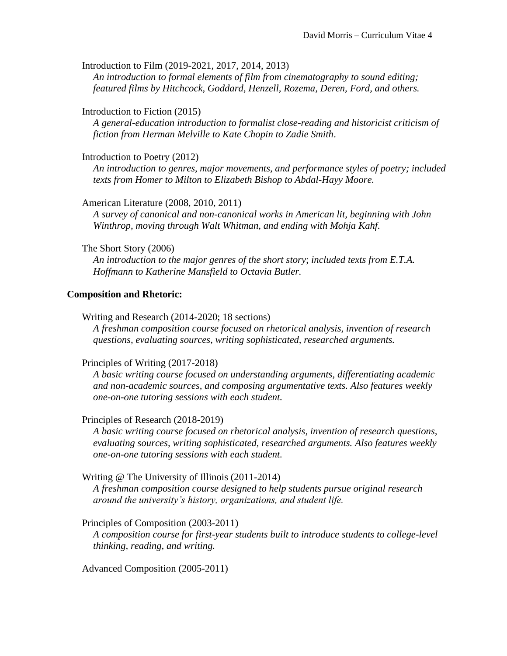Introduction to Film (2019-2021, 2017, 2014, 2013)

*An introduction to formal elements of film from cinematography to sound editing; featured films by Hitchcock, Goddard, Henzell, Rozema, Deren, Ford, and others.*

#### Introduction to Fiction (2015)

*A general-education introduction to formalist close-reading and historicist criticism of fiction from Herman Melville to Kate Chopin to Zadie Smith*.

#### Introduction to Poetry (2012)

*An introduction to genres, major movements, and performance styles of poetry; included texts from Homer to Milton to Elizabeth Bishop to Abdal-Hayy Moore.*

American Literature (2008, 2010, 2011)

*A survey of canonical and non-canonical works in American lit, beginning with John Winthrop, moving through Walt Whitman, and ending with Mohja Kahf.*

#### The Short Story (2006)

*An introduction to the major genres of the short story*; *included texts from E.T.A. Hoffmann to Katherine Mansfield to Octavia Butler.* 

#### **Composition and Rhetoric:**

Writing and Research (2014-2020; 18 sections)

*A freshman composition course focused on rhetorical analysis, invention of research questions, evaluating sources, writing sophisticated, researched arguments.*

#### Principles of Writing (2017-2018)

*A basic writing course focused on understanding arguments, differentiating academic and non-academic sources, and composing argumentative texts. Also features weekly one-on-one tutoring sessions with each student.* 

#### Principles of Research (2018-2019)

*A basic writing course focused on rhetorical analysis, invention of research questions, evaluating sources, writing sophisticated, researched arguments. Also features weekly one-on-one tutoring sessions with each student.*

#### Writing *@* The University of Illinois (2011-2014)

*A freshman composition course designed to help students pursue original research around the university's history, organizations, and student life.* 

#### Principles of Composition (2003-2011)

*A composition course for first-year students built to introduce students to college-level thinking, reading, and writing.*

Advanced Composition (2005-2011)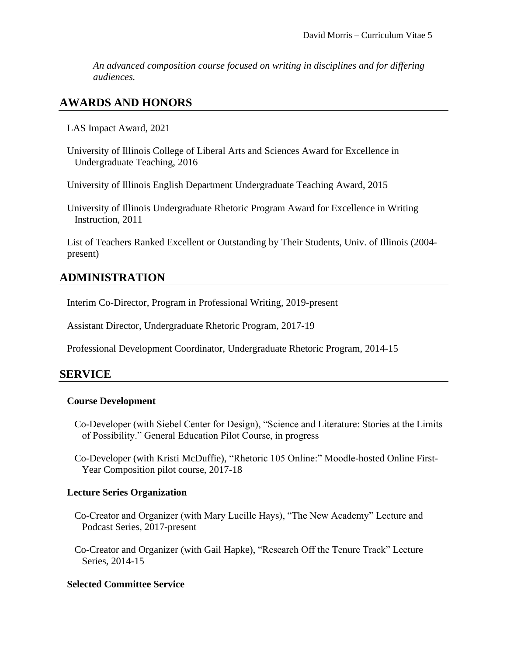*An advanced composition course focused on writing in disciplines and for differing audiences.*

## **AWARDS AND HONORS**

LAS Impact Award, 2021

University of Illinois College of Liberal Arts and Sciences Award for Excellence in Undergraduate Teaching, 2016

University of Illinois English Department Undergraduate Teaching Award, 2015

University of Illinois Undergraduate Rhetoric Program Award for Excellence in Writing Instruction, 2011

List of Teachers Ranked Excellent or Outstanding by Their Students, Univ. of Illinois (2004 present)

## **ADMINISTRATION**

Interim Co-Director, Program in Professional Writing, 2019-present

Assistant Director, Undergraduate Rhetoric Program, 2017-19

Professional Development Coordinator, Undergraduate Rhetoric Program, 2014-15

### **SERVICE**

#### **Course Development**

- Co-Developer (with Siebel Center for Design), "Science and Literature: Stories at the Limits of Possibility." General Education Pilot Course, in progress
- Co-Developer (with Kristi McDuffie), "Rhetoric 105 Online:" Moodle-hosted Online First-Year Composition pilot course, 2017-18

### **Lecture Series Organization**

- Co-Creator and Organizer (with Mary Lucille Hays), "The New Academy" Lecture and Podcast Series, 2017-present
- Co-Creator and Organizer (with Gail Hapke), "Research Off the Tenure Track" Lecture Series, 2014-15

### **Selected Committee Service**